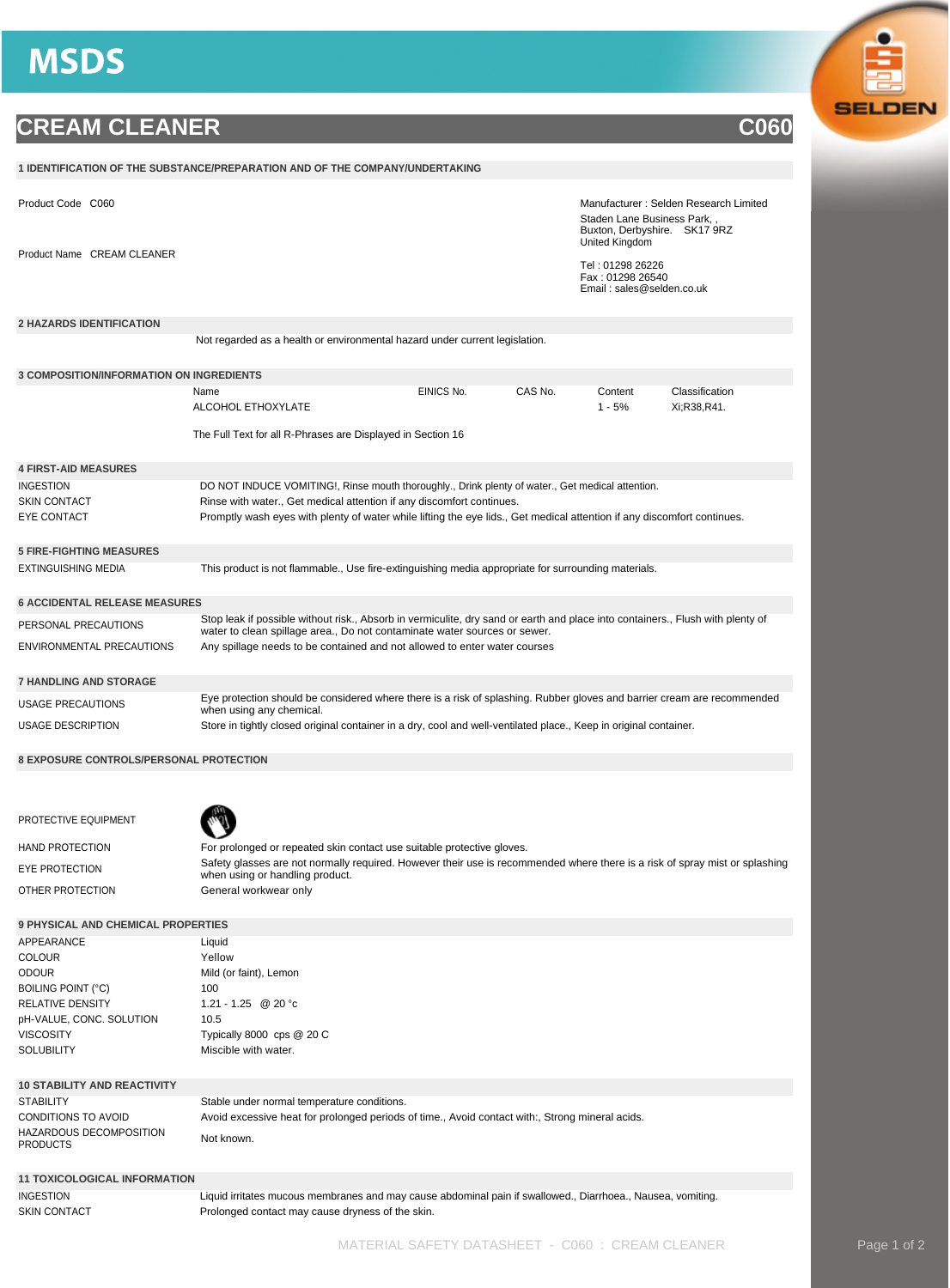## **MSDS**

## **CREAM CLEANER COMPANY**

| 1 IDENTIFICATION OF THE SUBSTANCE/PREPARATION AND OF THE COMPANY/UNDERTAKING |                                                                                                                                                                                                             |            |         |                                                                                                                       |                               |  |  |
|------------------------------------------------------------------------------|-------------------------------------------------------------------------------------------------------------------------------------------------------------------------------------------------------------|------------|---------|-----------------------------------------------------------------------------------------------------------------------|-------------------------------|--|--|
| Product Code C060                                                            |                                                                                                                                                                                                             |            |         | Manufacturer: Selden Research Limited<br>Staden Lane Business Park,<br>Buxton, Derbyshire. SK17 9RZ<br>United Kingdom |                               |  |  |
| Product Name CREAM CLEANER                                                   |                                                                                                                                                                                                             |            |         | Tel: 01298 26226<br>Fax: 01298 26540<br>Email: sales@selden.co.uk                                                     |                               |  |  |
| <b>2 HAZARDS IDENTIFICATION</b>                                              |                                                                                                                                                                                                             |            |         |                                                                                                                       |                               |  |  |
|                                                                              | Not regarded as a health or environmental hazard under current legislation.                                                                                                                                 |            |         |                                                                                                                       |                               |  |  |
|                                                                              |                                                                                                                                                                                                             |            |         |                                                                                                                       |                               |  |  |
| <b>3 COMPOSITION/INFORMATION ON INGREDIENTS</b>                              |                                                                                                                                                                                                             |            |         |                                                                                                                       |                               |  |  |
|                                                                              | Name<br>ALCOHOL ETHOXYLATE                                                                                                                                                                                  | EINICS No. | CAS No. | Content<br>$1 - 5%$                                                                                                   | Classification<br>Xi;R38,R41. |  |  |
|                                                                              | The Full Text for all R-Phrases are Displayed in Section 16                                                                                                                                                 |            |         |                                                                                                                       |                               |  |  |
| <b>4 FIRST-AID MEASURES</b>                                                  |                                                                                                                                                                                                             |            |         |                                                                                                                       |                               |  |  |
| INGESTION                                                                    | DO NOT INDUCE VOMITING!, Rinse mouth thoroughly., Drink plenty of water., Get medical attention.                                                                                                            |            |         |                                                                                                                       |                               |  |  |
| SKIN CONTACT                                                                 | Rinse with water., Get medical attention if any discomfort continues.                                                                                                                                       |            |         |                                                                                                                       |                               |  |  |
| EYE CONTACT                                                                  | Promptly wash eyes with plenty of water while lifting the eye lids., Get medical attention if any discomfort continues.                                                                                     |            |         |                                                                                                                       |                               |  |  |
| <b>5 FIRE-FIGHTING MEASURES</b>                                              |                                                                                                                                                                                                             |            |         |                                                                                                                       |                               |  |  |
| EXTINGUISHING MEDIA                                                          | This product is not flammable., Use fire-extinguishing media appropriate for surrounding materials.                                                                                                         |            |         |                                                                                                                       |                               |  |  |
|                                                                              |                                                                                                                                                                                                             |            |         |                                                                                                                       |                               |  |  |
| 6 ACCIDENTAL RELEASE MEASURES                                                |                                                                                                                                                                                                             |            |         |                                                                                                                       |                               |  |  |
| PERSONAL PRECAUTIONS                                                         | Stop leak if possible without risk., Absorb in vermiculite, dry sand or earth and place into containers., Flush with plenty of<br>water to clean spillage area., Do not contaminate water sources or sewer. |            |         |                                                                                                                       |                               |  |  |
| ENVIRONMENTAL PRECAUTIONS                                                    | Any spillage needs to be contained and not allowed to enter water courses                                                                                                                                   |            |         |                                                                                                                       |                               |  |  |
| <b>7 HANDLING AND STORAGE</b>                                                |                                                                                                                                                                                                             |            |         |                                                                                                                       |                               |  |  |
| USAGE PRECAUTIONS                                                            | Eye protection should be considered where there is a risk of splashing. Rubber gloves and barrier cream are recommended                                                                                     |            |         |                                                                                                                       |                               |  |  |
| USAGE DESCRIPTION                                                            | when using any chemical.<br>Store in tightly closed original container in a dry, cool and well-ventilated place., Keep in original container.                                                               |            |         |                                                                                                                       |                               |  |  |
|                                                                              |                                                                                                                                                                                                             |            |         |                                                                                                                       |                               |  |  |
| <b>8 EXPOSURE CONTROLS/PERSONAL PROTECTION</b>                               |                                                                                                                                                                                                             |            |         |                                                                                                                       |                               |  |  |
|                                                                              |                                                                                                                                                                                                             |            |         |                                                                                                                       |                               |  |  |
| PROTECTIVE EQUIPMENT                                                         |                                                                                                                                                                                                             |            |         |                                                                                                                       |                               |  |  |
| HAND PROTECTION                                                              | For prolonged or repeated skin contact use suitable protective gloves.                                                                                                                                      |            |         |                                                                                                                       |                               |  |  |
| EYE PROTECTION                                                               | Safety glasses are not normally required. However their use is recommended where there is a risk of spray mist or splashing                                                                                 |            |         |                                                                                                                       |                               |  |  |
| OTHER PROTECTION                                                             | when using or handling product.<br>General workwear only                                                                                                                                                    |            |         |                                                                                                                       |                               |  |  |
|                                                                              |                                                                                                                                                                                                             |            |         |                                                                                                                       |                               |  |  |
| <b>9 PHYSICAL AND CHEMICAL PROPERTIES</b>                                    |                                                                                                                                                                                                             |            |         |                                                                                                                       |                               |  |  |
| APPEARANCE                                                                   | Liquid                                                                                                                                                                                                      |            |         |                                                                                                                       |                               |  |  |
| COLOUR                                                                       | Yellow                                                                                                                                                                                                      |            |         |                                                                                                                       |                               |  |  |
| ODOUR                                                                        | Mild (or faint), Lemon                                                                                                                                                                                      |            |         |                                                                                                                       |                               |  |  |
| <b>BOILING POINT (°C)</b>                                                    | 100                                                                                                                                                                                                         |            |         |                                                                                                                       |                               |  |  |
| RELATIVE DENSITY                                                             | 1.21 - 1.25 @ 20 °c                                                                                                                                                                                         |            |         |                                                                                                                       |                               |  |  |
| pH-VALUE, CONC. SOLUTION                                                     | 10.5                                                                                                                                                                                                        |            |         |                                                                                                                       |                               |  |  |
| <b>VISCOSITY</b>                                                             | Typically 8000 cps @ 20 C                                                                                                                                                                                   |            |         |                                                                                                                       |                               |  |  |
| SOLUBILITY                                                                   | Miscible with water.                                                                                                                                                                                        |            |         |                                                                                                                       |                               |  |  |
|                                                                              |                                                                                                                                                                                                             |            |         |                                                                                                                       |                               |  |  |
| <b>10 STABILITY AND REACTIVITY</b>                                           |                                                                                                                                                                                                             |            |         |                                                                                                                       |                               |  |  |
| STABILITY                                                                    | Stable under normal temperature conditions.                                                                                                                                                                 |            |         |                                                                                                                       |                               |  |  |
| CONDITIONS TO AVOID<br>HAZARDOUS DECOMPOSITION<br>PRODUCTS                   | Avoid excessive heat for prolonged periods of time., Avoid contact with:, Strong mineral acids.<br>Not known.                                                                                               |            |         |                                                                                                                       |                               |  |  |
| <b>11 TOXICOLOGICAL INFORMATION</b>                                          |                                                                                                                                                                                                             |            |         |                                                                                                                       |                               |  |  |
| INGESTION                                                                    | Liquid irritates mucous membranes and may cause abdominal pain if swallowed., Diarrhoea., Nausea, vomiting.                                                                                                 |            |         |                                                                                                                       |                               |  |  |
| SKIN CONTACT                                                                 | Prolonged contact may cause dryness of the skin.                                                                                                                                                            |            |         |                                                                                                                       |                               |  |  |